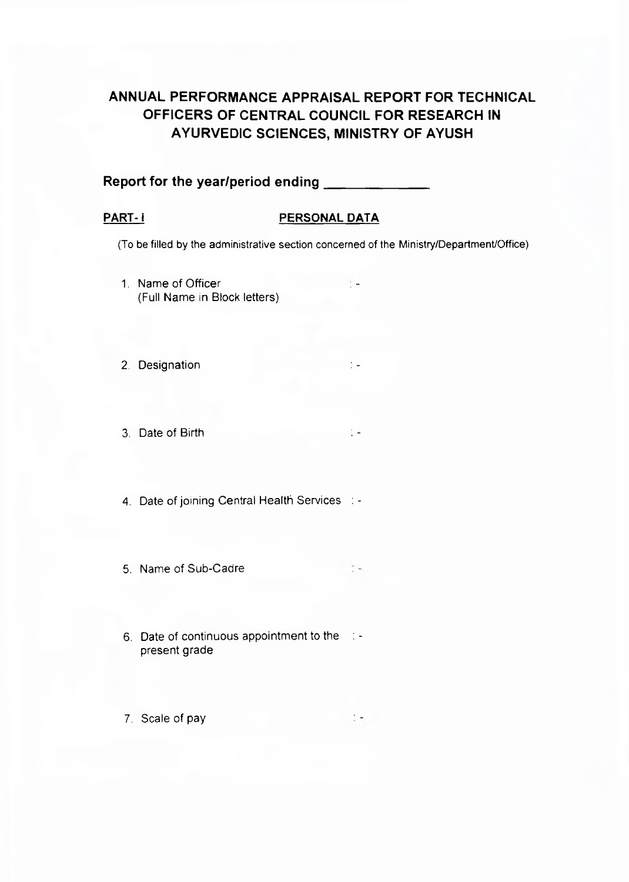# **ANNUAL PERFORMANCE APPRAISAL REPORT FOR TECHNICAL OFFICERS OF CENTRAL COUNCIL FOR RESEARCH IN AYURVEDIC SCIENCES, MINISTRY OF AYUSH**

# **Report for the year/period ending\_\_\_\_\_\_\_\_\_\_\_\_\_\_**

#### PART-1 **PERSONAL DATA**

(To be filled by the administrative section concerned of the Ministry/Department/Office)

- 1. Name of Officer **-** The Second Second Second Second Second Second Second Second Second Second Second Second Second Second Second Second Second Second Second Second Second Second Second Second Second Second Second Second {Full Name in Block letters)
- 2. Designation
- 3. Date of Birth :  $\blacksquare$
- 4. Date of joining Central Health Services : -
- 5. Name of Sub-Cadre
- 6. Date of continuous appointment to the : present grade
- 7. Scale of pay

÷.

 $\cdot$  .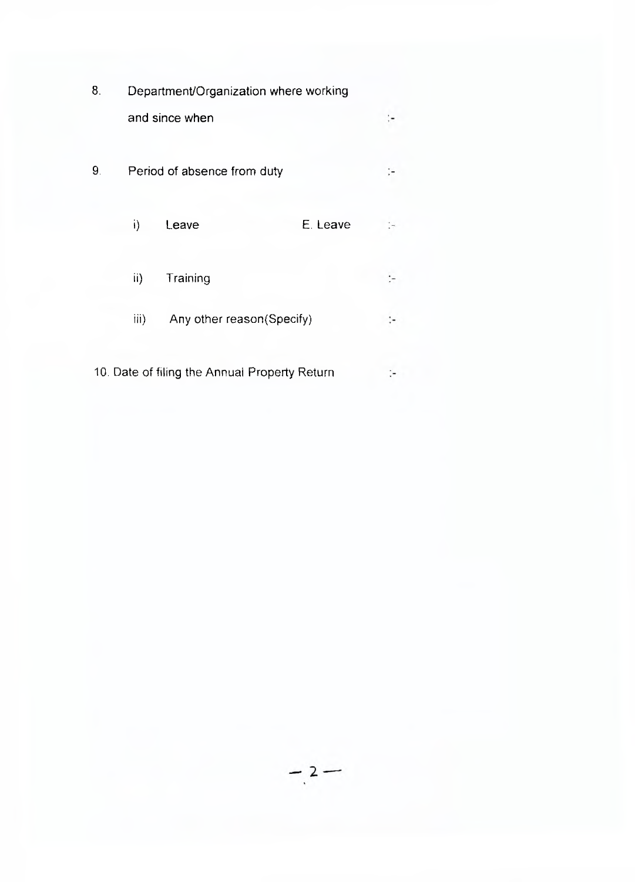| 8. |                                                        |                             | Department/Organization where working |  |
|----|--------------------------------------------------------|-----------------------------|---------------------------------------|--|
|    |                                                        | and since when              |                                       |  |
| 9. |                                                        | Period of absence from duty |                                       |  |
|    | i)                                                     | Leave                       | E. Leave                              |  |
|    | ii)                                                    | Training                    |                                       |  |
|    | $\overline{\mathsf{iii}}$<br>Any other reason(Specify) |                             |                                       |  |

10. Date of filing the Annual Property Return $\mathcal{C}^{\perp}$ 

 $-2-$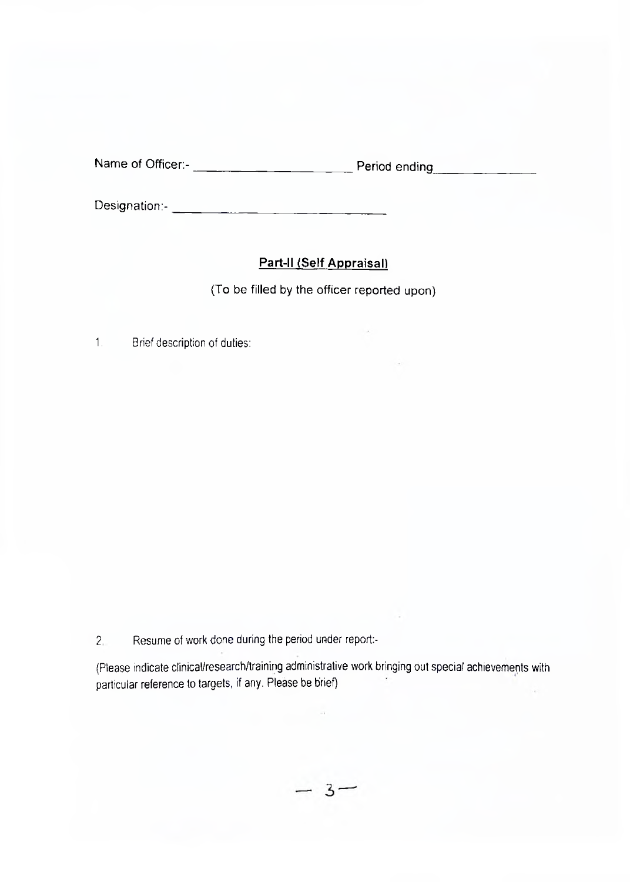| Name of Officer:- | Period ending |
|-------------------|---------------|
|-------------------|---------------|

Designation:-

# **Part-ll (Self Appraisal)**

(To be filled by the officer reported upon)

1. Brief description of duties:

2. Resume of work done during the period under report:-

(Please indicate clinical/research/training administrative work bringing out special achievements with particular reference to targets, if any. Please be brief)

 $-3-$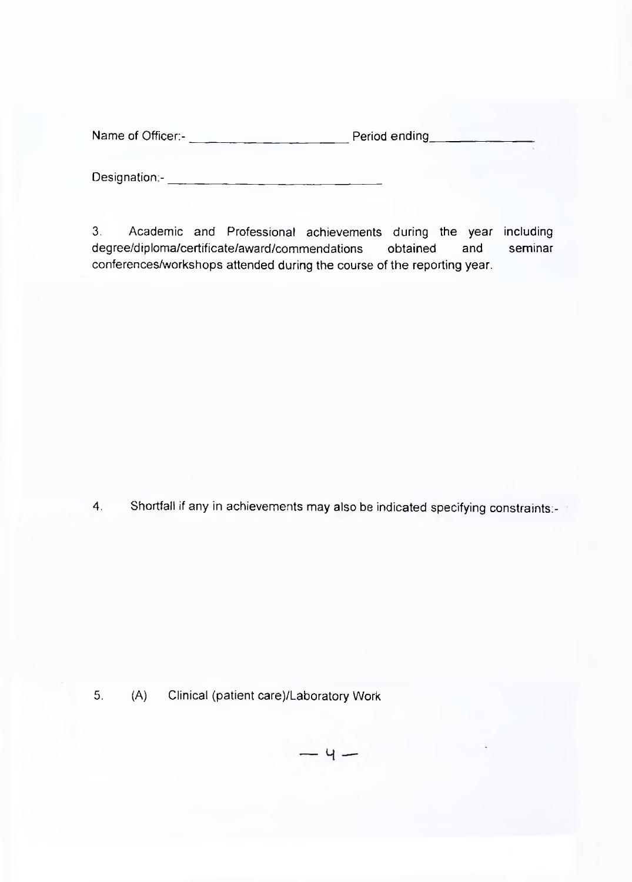Designation:- The contract of the contract of the contract of the contract of the contract of the contract of the contract of the contract of the contract of the contract of the contract of the contract of the contract of

3. Academic and Professional achievements during the year including degree/diploma/certificate/award/commendations obtained and seminar conferences/workshops attended during the course of the reporting year.

4. Shortfall if any in achievements may also be indicated specifying constraints:-

5. (A) Clinical (patient care)/Laboratory Work

 $-4-$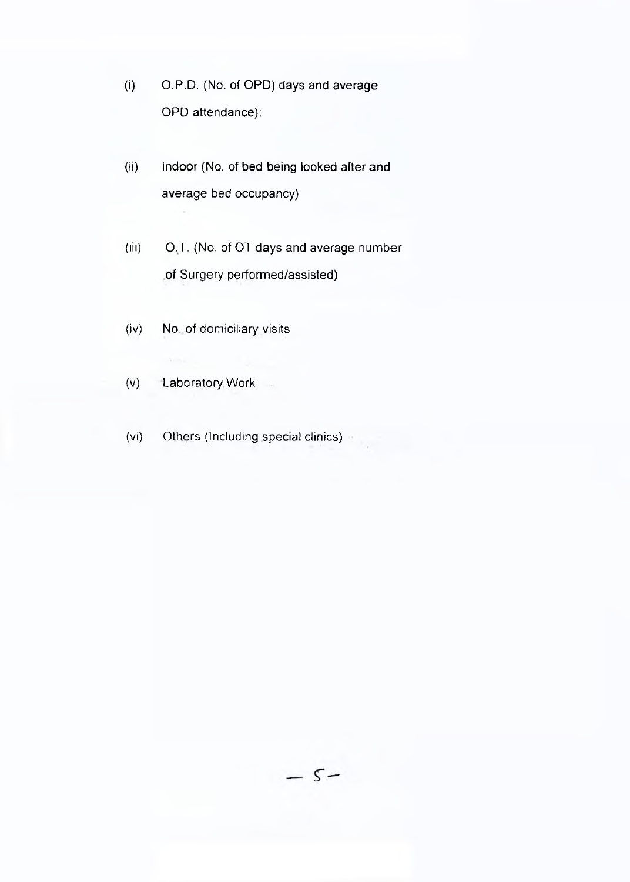- (i) O.P.D. (No. of OPD) days and average OPD attendance):
- (ii) Indoor (No. of bed being looked after and average bed occupancy)

(iii) O.T. (No. of OT days and average number of Surgery performed/assisted)

- (iv) No. of domiciliary visits
- (v) Laboratory Work
- (vi) Others (Including special clinics)

 $-5-$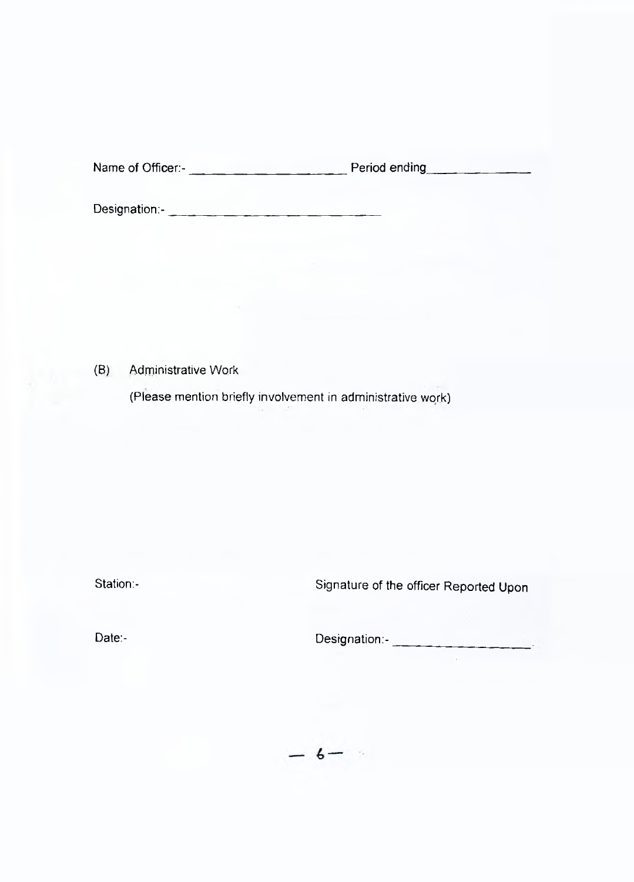Designation:-

(B) Administrative Work

(Please mention briefly involvement in administrative work)

Station:- Station:- Signature of the officer Reported Upon

Date:- Designation:-

à.

 $-6 -$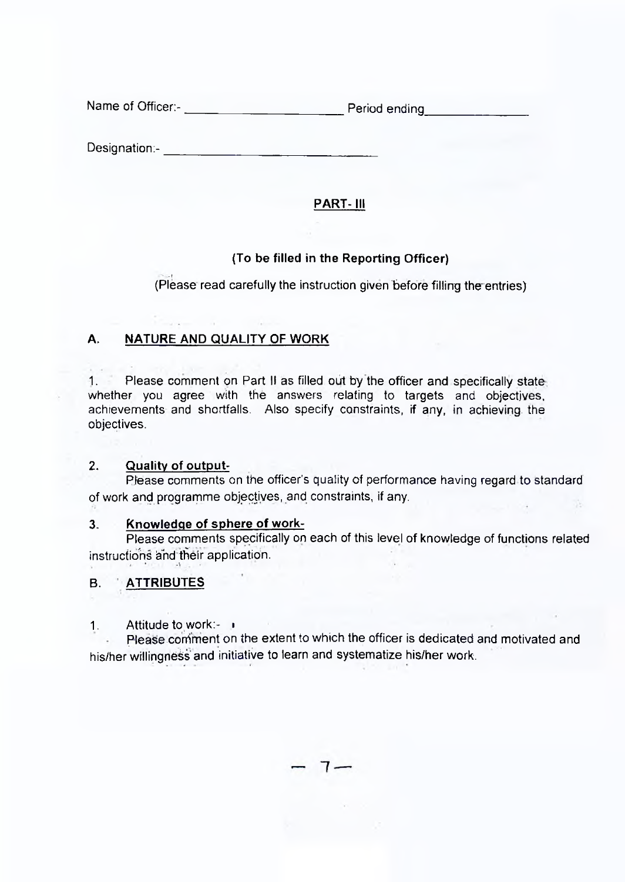Designation:- **Example 20** Section 20 Section 20 Section 20 Section 20 Section 20 Section 20 Section 20 Section 20 Section 20 Section 20 Section 20 Section 20 Section 20 Section 20 Section 20 Section 20 Section 20 Section

# **PART- III**

### **(To be filled in the Reporting Officer)**

(Please read carefully the instruction given before filling the entries)

# **A. NATURE AND QUALITY OF WORK**

1. Please comment on Part II as filled out by the officer and specifically state whether you agree with the answers relating to targets and objectives, achievements and shortfalls. Also specify constraints, if any, in achieving, the objectives.

#### **2. Quality of output-**

Please comments on the officer's quality of performance having regard to standard of work and programme objectives, and constraints, if any.

#### **3. Knowledge of sphere of work-**

Please comments specifically on each of this level of knowledge of functions related instructions and their application.

# **B. ATTRIBUTES**

1. Attitude to work:- ■

Please comment on the extent to which the officer is dedicated and motivated and his/her willingness and initiative to learn and systematize his/her work.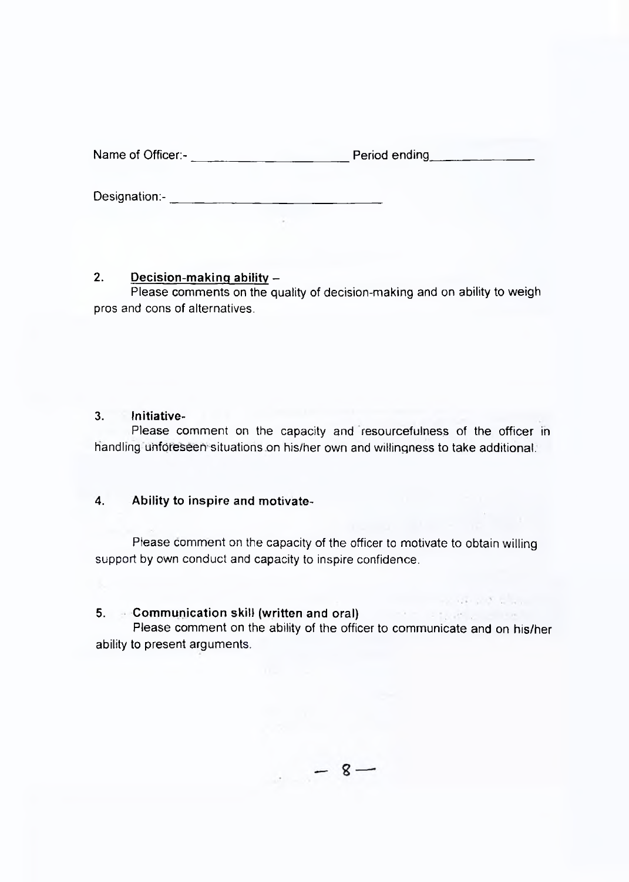Designation:-

#### **2. Decision-making ability -**

Please comments on the quality of decision-making and on ability to weigh pros and cons of alternatives.

#### **3. Initiative-**

Please comment on the capacity and resourcefulness of the officer in handling unforeseen situations on his/her own and willingness to take additional.

#### **4. Ability to inspire and motivate-**

Please comment on the capacity of the officer to motivate to obtain willing support by own conduct and capacity to inspire confidence.

#### **5. Communication skill (written and oral)**

Please comment on the ability of the officer to communicate and on his/her ability to present arguments.

 $-8-$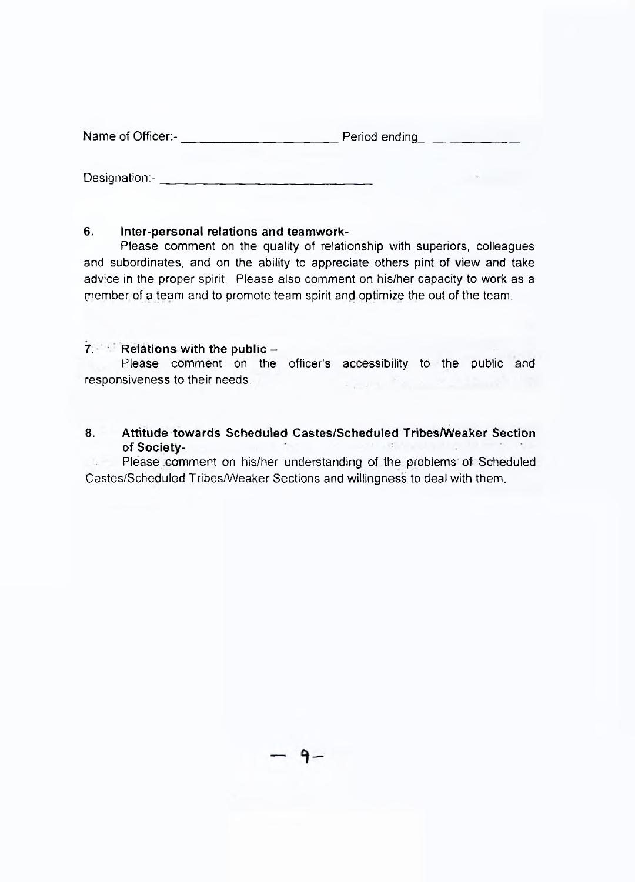Designation:-

#### **6. Inter-personal relations and teamwork-**

Please comment on the quality of relationship with superiors, colleagues and subordinates, and on the ability to appreciate others pint of view and take advice in the proper spirit. Please also comment on his/her capacity to work as a member, of a team and to promote team spirit and optimize the out of the team.

#### **7. Relations with the public -**

Please comment on the officer's accessibility to the public and responsiveness to their needs.  $\sim$   $_{\star}$   $\sim$ 

#### **8. Attitude towards Scheduled Castes/Scheduled Tribes/Weaker Section of Society-**

 $16 -$ Please .comment on his/her understanding of the problems' of Scheduled Castes/Scheduled Tribes/Weaker Sections and willingness to deal with them.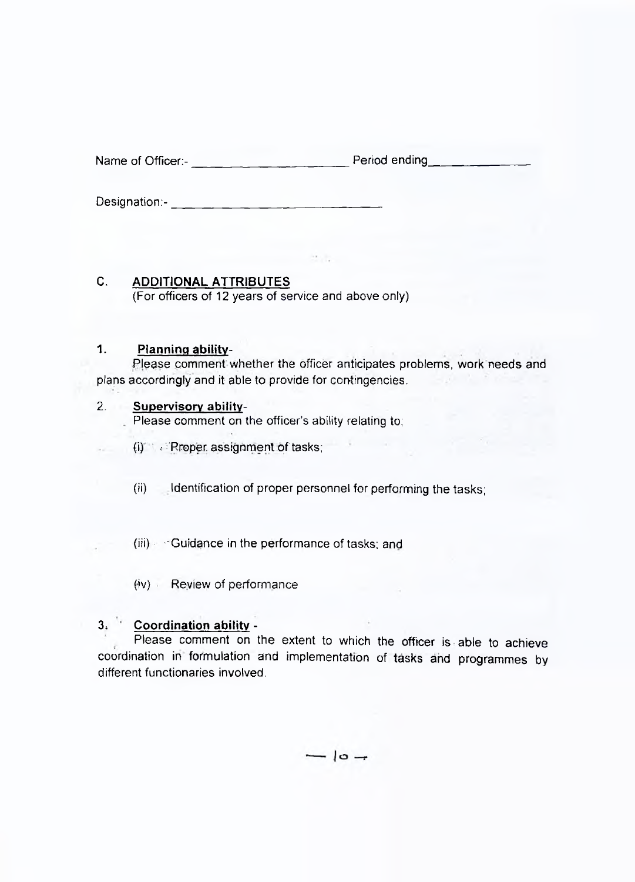Designation:-

**C. ADDITIONAL ATTRIBUTES** (For officers of 12 years of service and above only)

#### **1. Planning ability-**

Please comment whether the officer anticipates problems, work needs and plans accordingly and it able to provide for contingencies.

#### 2. **Supervisory ability-**

Please comment on the officer's ability relating to;

- (i) *N*: Proper. assignment of tasks;
- (ii) Identification of proper personnel for performing the tasks;

(iii) - Guidance in the performance of tasks; and

(iv) Review of performance

# **3.** Coordination ability -

Please comment on the extent to which the officer is able to achieve coordination in formulation and implementation of tasks and programmes by different functionaries involved.

 $-10 -$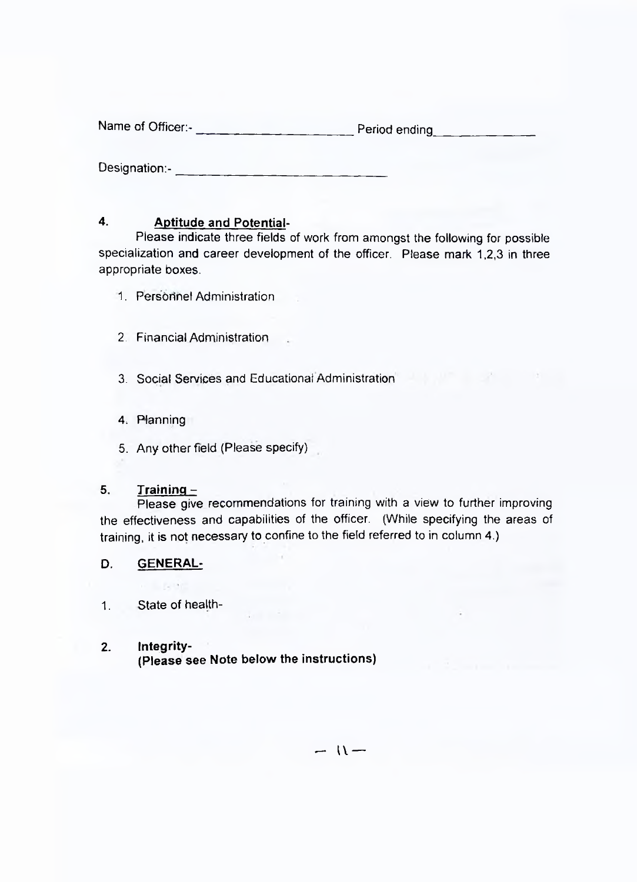Designation:-\_\_

#### **4. Aptitude and Potential-**

Please indicate three fields of work from amongst the following for possible specialization and career development of the officer. Please mark 1,2,3 in three appropriate boxes.

- 1. Personnel Administration
- 2. Financial Administration
- 3. Social Services and Educational Administration
- 4. Planning
- 5. Any other field (Please specify)

#### **5. Training -**

Please give recommendations for training with a view to further improving the effectiveness and capabilities of the officer. (While specifying the areas of training, it is not necessary to confine to the field referred to in column 4.)

#### **D. GENERAL-**

1. State of health-

#### **2. Integrity-**

**(Please see Note below the instructions)**

 $-11-$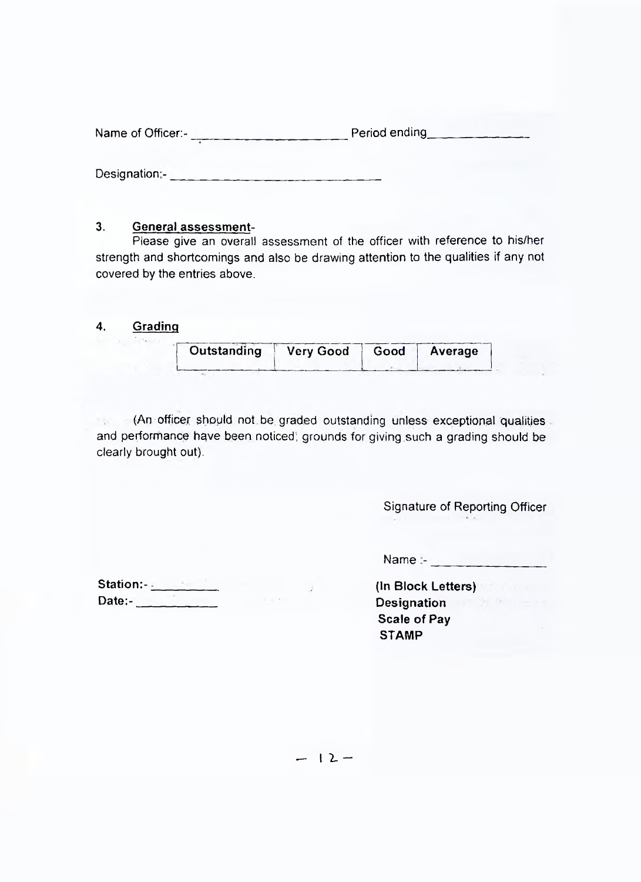| Period ending<br>Name of Officer:- |  |
|------------------------------------|--|
|------------------------------------|--|

Designation:- **Example 20** 

#### **3. General assessment-**

Please give an overall assessment of the officer with reference to his/her strength and shortcomings and also be drawing attention to the qualities if any not covered by the entries above.

#### **4. Grading**

 $\mathcal{R}_{\mathbf{A}}$ 

| Outstanding Very Good   Good   Average |  |
|----------------------------------------|--|
|                                        |  |

(An officer should not.be graded outstanding unless exceptional qualities 1940 and performance have been noticed; grounds for giving such a grading should be clearly brought out).

Signature of Reporting Officer

 $Name =$ 

| Date:- |  |
|--------|--|

**(In Block Letters) Designation Scale of Pay STAMP**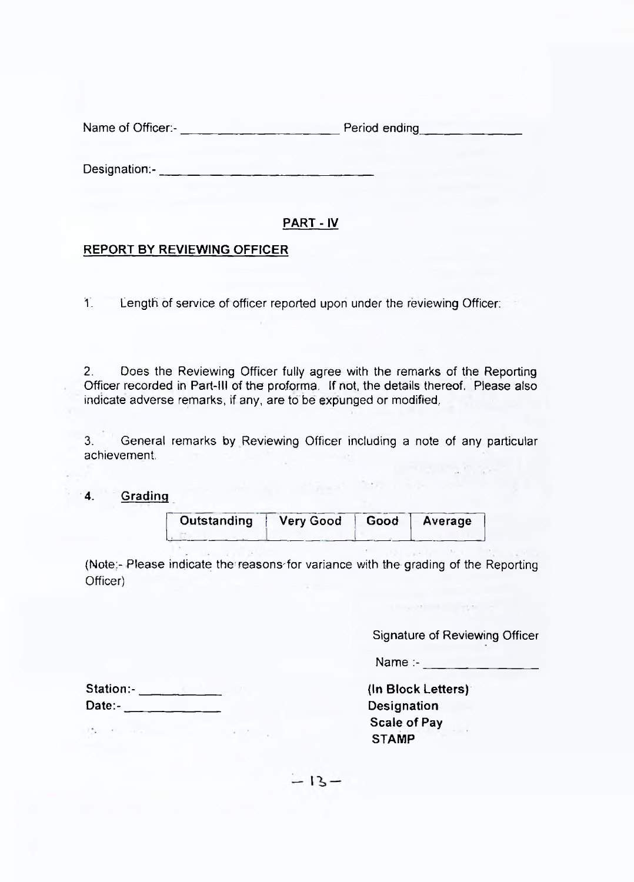Designation:-\_\_\_\_\_\_\_\_\_\_\_\_\_\_\_\_\_\_\_\_\_\_\_\_\_\_\_\_\_\_\_\_

#### **PART - IV**

#### **REPORT BY REVIEWING OFFICER**

T. Length of service of officer reported upon under the reviewing Officer:

2. Does the Reviewing Officer fully agree with the remarks of the Reporting Officer recorded in Part-ill of the proforma. If not, the details thereof, Please also indicate adverse remarks, if any, are to be expunged or modified,

3. General remarks by Reviewing Officer including a note of any particular achievement,

#### **4. Grading**

| Outstanding   Very Good   Good   Average |  |  |
|------------------------------------------|--|--|
|                                          |  |  |

(Note:-Please indicate the reasons'for variance with the grading of the Reporting Officer)

Signature of Reviewing Officer

thought in the second

Name :- \_\_\_\_\_\_\_\_\_\_\_\_\_\_

**{ln Block Letters) Designation Scale of Pay STAMP**

**Station:- Date:-**

 $P_{\mu\nu}$  , where  $\mu$  is a set of  $\mu$ 

 $-13-$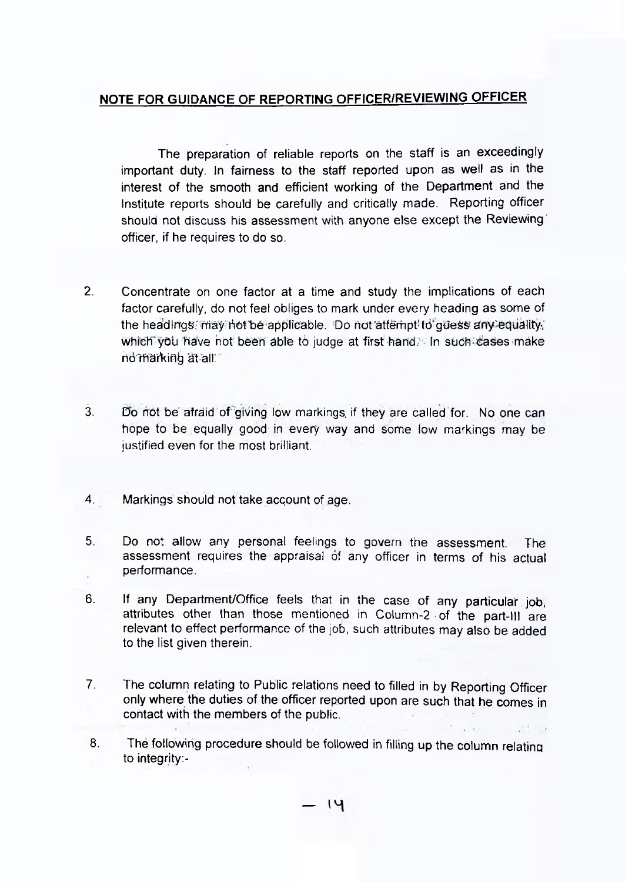### **NOTE FOR GUIDANCE OF REPORTING OFFICER/REVIEWING OFFICER**

The preparation of reliable reports on the staff is an exceedingly important duty. In fairness to the staff reported upon as well as in the interest of the smooth and efficient working of the Department and the Institute reports should be carefully and critically made. Reporting officer should not discuss his assessment with anyone else except the Reviewing officer, if he requires to do so.

- 2. Concentrate on one factor at a time and study the implications of each factor carefully, do not feel obliges to mark under every heading as some of the headings; may hot be applicable. Do not attempt to guess any equality; which you have not been able to judge at first hand. In such cases make no marking at all
- 3. Do not be' afraid of giving low markings, if they are called for. No one can hope to be equally good in every way and some low markings may be justified even for the most brilliant.
- 4. Markings should not take account of age.
- 5. Do not allow any personal feelings to govern the assessment. The assessment requires the appraisal of any officer in terms of his actual performance.
- 6. If any Department/Office feels that in the case of any particular job, attributes other than those mentioned in Column-2 • of the part-ill are relevant to effect performance of the job, such attributes may also be added to the list given therein.
- 7. The column relating to Public relations need to filled in by Reporting Officer only where the duties of the officer reported upon are such that he comes in contact with the members of the public.
- 8. The following procedure should be followed in filling up the column relating to integrity:-

ाप